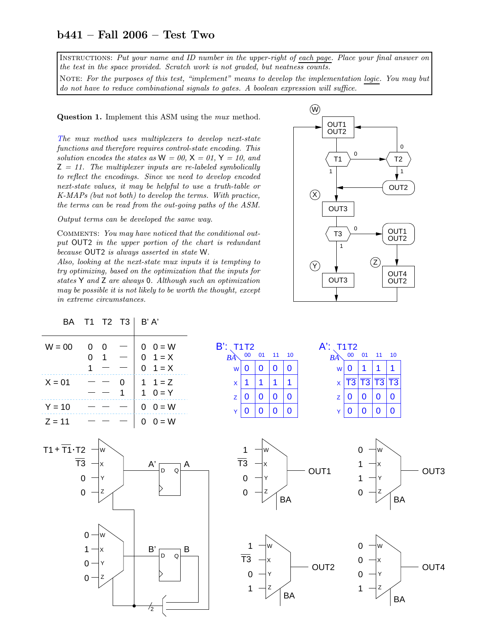## b441 – Fall 2006 – Test Two

Instructions: Put your name and ID number in the upper-right of each page. Place your final answer on the test in the space provided. Scratch work is not graded, but neatness counts.

NOTE: For the purposes of this test, "implement" means to develop the implementation logic. You may but do not have to reduce combinational signals to gates. A boolean expression will suffice.

Question 1. Implement this ASM using the mux method.

The mux method uses multiplexers to develop next-state functions and therefore requires control-state encoding. This solution encodes the states as  $W = 00$ ,  $X = 01$ ,  $Y = 10$ , and  $Z = 11$ . The multiplexer inputs are re-labeled symbolically to reflect the encodings. Since we need to develop encoded next-state values, it may be helpful to use a truth-table or K-MAPs (but not both) to develop the terms. With practice, the terms can be read from the out-going paths of the ASM.

Output terms can be developed the same way.

COMMENTS: You may have noticed that the conditional output OUT2 in the upper portion of the chart is redundant because OUT2 is always asserted in state W.

Also, looking at the next-state mux inputs it is tempting to try optimizing, based on the optimization that the inputs for states Y and Z are always 0. Although such an optimization may be possible it is not likely to be worth the thought, except in extreme circumstances.

 $\frac{1}{2}$  -



| BA                            | T1                                                                                                                         | T2 T3                    | B' A'                                      |                                                                                                                                                                                                                                                                                                |
|-------------------------------|----------------------------------------------------------------------------------------------------------------------------|--------------------------|--------------------------------------------|------------------------------------------------------------------------------------------------------------------------------------------------------------------------------------------------------------------------------------------------------------------------------------------------|
| $W = 00$                      | $\boldsymbol{0}$<br>$\mathbf 0$<br>$\mathbf 0$<br>$\overline{1}$<br>$\overline{1}$                                         | $\overline{\phantom{m}}$ | $0 \t 0 = W$<br>$0 \t1 = X$<br>$0 \t1 = X$ | $B'$ : T <sub>1</sub> T <sub>2</sub><br>$A$ : T <sub>1</sub> T <sub>2</sub><br>00 01 11 10<br>$00$ 01<br>$-11$<br>10<br>BA<br>$B\tilde{A}$<br>$\bf{0}$<br>$\bf{0}$<br>$\bf{0}$<br>$\bf{0}$<br>$\bf{0}$<br>1<br>1<br>W<br>W<br>1                                                                |
| $X = 01$                      |                                                                                                                            | $\mathbf{0}$<br>1        | 1 $1 = Z$<br>$0 = Y$<br>$1 -$              | $\overline{T3}$<br>$ \overline{T3} $<br>$\overline{T3}$<br>$\overline{T3}$<br>1<br>1<br>1.<br>1<br>$\mathsf{X}^{\scriptscriptstyle\top}$<br>$\pmb{\mathsf{X}}$<br>$\bf{0}$<br>$\bf{0}$<br>$\bf{0}$<br>$\bf{0}$<br>$\bf{0}$<br>$\bf{0}$<br>$\bf{0}$<br>$\mathsf{Z}$<br>$\bf{0}$<br>$\mathsf{Z}$ |
| $Y = 10$                      |                                                                                                                            |                          | $0 \t 0 = W$                               | $\bf{0}$<br>$\bf{0}$<br>$\bf{0}$<br>$\mathbf 0$<br>$\mathbf 0$<br>$\bf{0}$<br>$\mathbf 0$<br>$\bf{0}$<br>Y<br>Y                                                                                                                                                                                |
| $Z = 11$                      |                                                                                                                            |                          | $0$ $0 = W$                                |                                                                                                                                                                                                                                                                                                |
| $T1 + \overline{T1} \cdot T2$ | ∤w<br>$\overline{\text{T3}}$ - $\vert x \vert$<br>$\overline{0}$<br>$\overline{\phantom{0}}$<br>łΥ<br>$\overline{0}$<br>łΖ |                          | A'<br>A<br>$\mathsf D$<br>$\Omega$         | 1<br>$\mathbf 0$<br>∤w<br>∤w<br>$\overline{T3}$<br>łχ<br>OUT1<br>OUT <sub>3</sub><br>$\begin{matrix} 0 \\ 0 \end{matrix}$<br>$\mathbf 1$<br>Y)<br>Y<br>$\mathbf 0$<br>$\vert z \vert$<br>$\vert$ Z<br>BA<br><b>BA</b>                                                                          |
|                               | $0 -$<br>łw<br>$1 -$<br>X<br>$0 -$<br>İΥ<br>$0 -$<br>łΖ                                                                    |                          | $\mathsf B'$<br>B<br>D<br>Q                | 0<br>lw<br>W<br>$\begin{array}{ccc}\n\overline{13} & -\vert x \\ 0 & -\vert x \\ 1 & -\vert z \end{array}$<br>$\pmb{0}$<br>1x<br>OUT2<br>OUT4<br>$\pmb{0}$<br> Y<br>$\overline{\phantom{0}}$<br>1<br>Ζ<br><b>BA</b><br>BA                                                                      |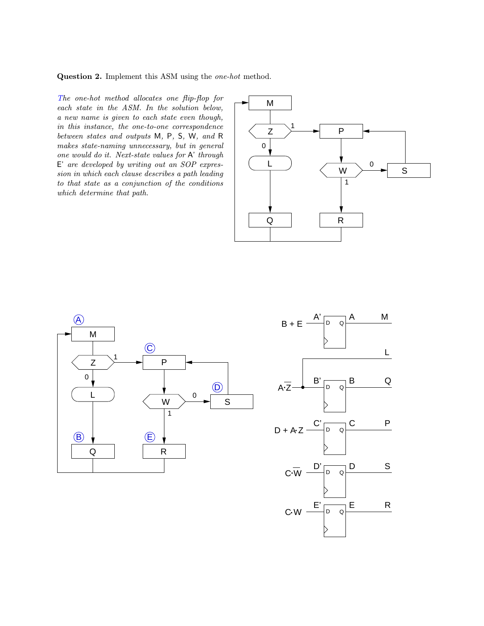Question 2. Implement this ASM using the one-hot method.

The one-hot method allocates one flip-flop for each state in the ASM. In the solution below, a new name is given to each state even though, in this instance, the one-to-one correspondence between states and outputs M, P, S, W, and R makes state-naming unnecessary, but in general one would do it. Next-state values for A' through E' are developed by writing out an SOP expression in which each clause describes a path leading to that state as a conjunction of the conditions which determine that path.